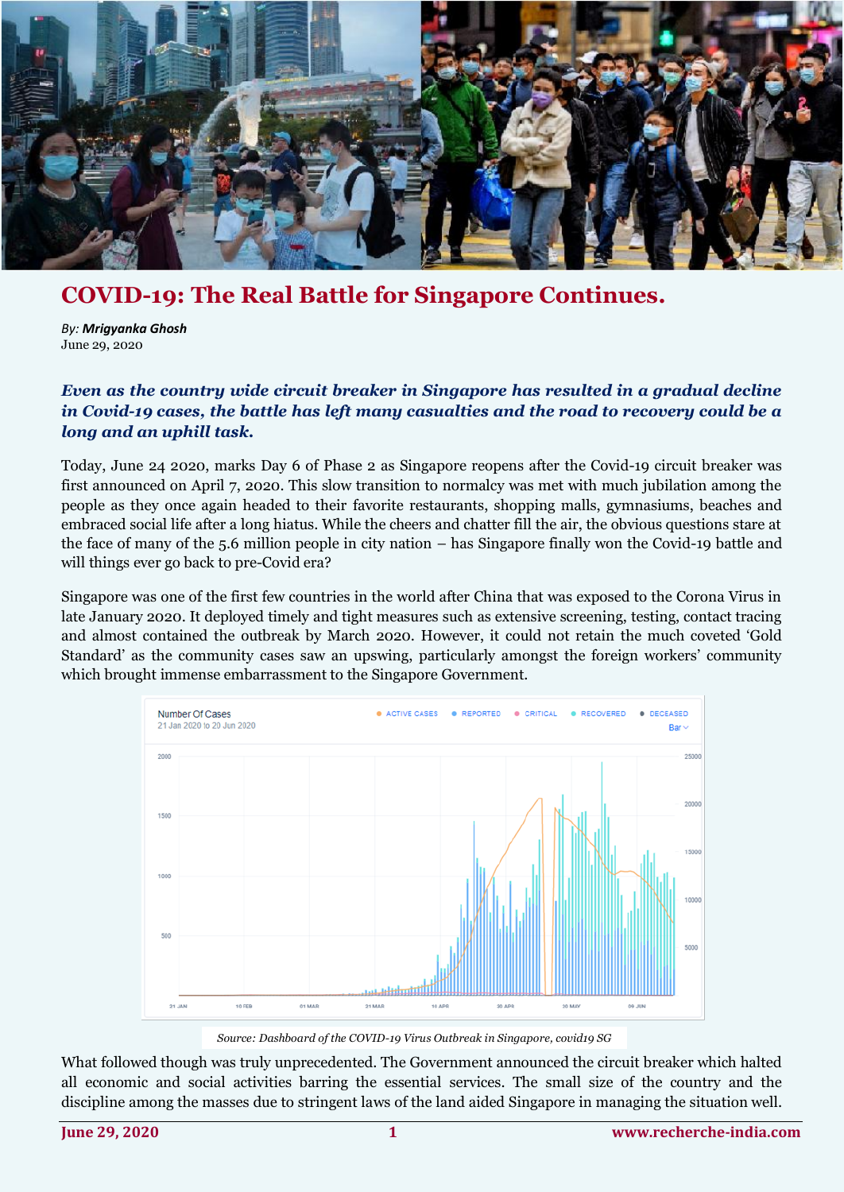

## **COVID-19: The Real Battle for Singapore Continues.**

*By: Mrigyanka Ghosh* June 29, 2020

## *Even as the country wide circuit breaker in Singapore has resulted in a gradual decline in Covid-19 cases, the battle has left many casualties and the road to recovery could be a long and an uphill task.*

Today, June 24 2020, marks Day 6 of Phase 2 as Singapore reopens after the Covid-19 circuit breaker was first announced on April 7, 2020. This slow transition to normalcy was met with much jubilation among the people as they once again headed to their favorite restaurants, shopping malls, gymnasiums, beaches and embraced social life after a long hiatus. While the cheers and chatter fill the air, the obvious questions stare at the face of many of the 5.6 million people in city nation – has Singapore finally won the Covid-19 battle and will things ever go back to pre-Covid era?

Singapore was one of the first few countries in the world after China that was exposed to the Corona Virus in late January 2020. It deployed timely and tight measures such as extensive screening, testing, contact tracing and almost contained the outbreak by March 2020. However, it could not retain the much coveted 'Gold Standard' as the community cases saw an upswing, particularly amongst the foreign workers' community which brought immense embarrassment to the Singapore Government.



*Source: Dashboard of the COVID-19 Virus Outbreak in Singapore, covid19 SG*

What followed though was truly unprecedented. The Government announced the circuit breaker which halted all economic and social activities barring the essential services. The small size of the country and the discipline among the masses due to stringent laws of the land aided Singapore in managing the situation well.